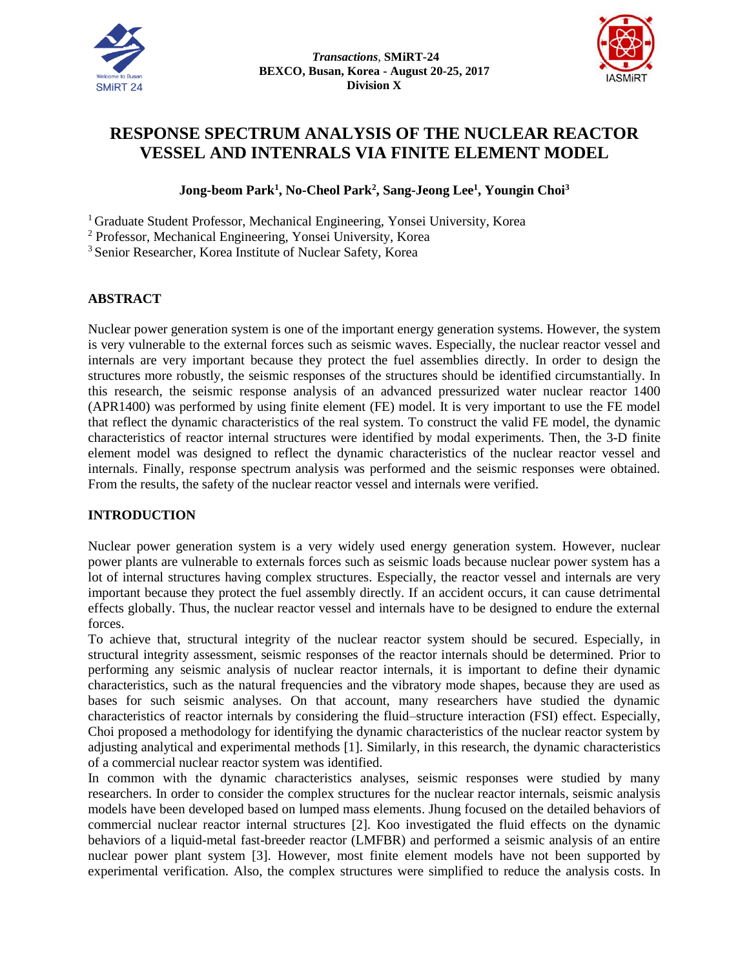



# **RESPONSE SPECTRUM ANALYSIS OF THE NUCLEAR REACTOR VESSEL AND INTENRALS VIA FINITE ELEMENT MODEL**

# **Jong-beom Park<sup>1</sup> , No-Cheol Park<sup>2</sup> , Sang-Jeong Lee<sup>1</sup> , Youngin Choi<sup>3</sup>**

<sup>1</sup> Graduate Student Professor, Mechanical Engineering, Yonsei University, Korea

<sup>2</sup> Professor, Mechanical Engineering, Yonsei University, Korea

<sup>3</sup> Senior Researcher, Korea Institute of Nuclear Safety, Korea

## **ABSTRACT**

Nuclear power generation system is one of the important energy generation systems. However, the system is very vulnerable to the external forces such as seismic waves. Especially, the nuclear reactor vessel and internals are very important because they protect the fuel assemblies directly. In order to design the structures more robustly, the seismic responses of the structures should be identified circumstantially. In this research, the seismic response analysis of an advanced pressurized water nuclear reactor 1400 (APR1400) was performed by using finite element (FE) model. It is very important to use the FE model that reflect the dynamic characteristics of the real system. To construct the valid FE model, the dynamic characteristics of reactor internal structures were identified by modal experiments. Then, the 3-D finite element model was designed to reflect the dynamic characteristics of the nuclear reactor vessel and internals. Finally, response spectrum analysis was performed and the seismic responses were obtained. From the results, the safety of the nuclear reactor vessel and internals were verified.

### **INTRODUCTION**

Nuclear power generation system is a very widely used energy generation system. However, nuclear power plants are vulnerable to externals forces such as seismic loads because nuclear power system has a lot of internal structures having complex structures. Especially, the reactor vessel and internals are very important because they protect the fuel assembly directly. If an accident occurs, it can cause detrimental effects globally. Thus, the nuclear reactor vessel and internals have to be designed to endure the external forces.

To achieve that, structural integrity of the nuclear reactor system should be secured. Especially, in structural integrity assessment, seismic responses of the reactor internals should be determined. Prior to performing any seismic analysis of nuclear reactor internals, it is important to define their dynamic characteristics, such as the natural frequencies and the vibratory mode shapes, because they are used as bases for such seismic analyses. On that account, many researchers have studied the dynamic characteristics of reactor internals by considering the fluid–structure interaction (FSI) effect. Especially, Choi proposed a methodology for identifying the dynamic characteristics of the nuclear reactor system by adjusting analytical and experimental methods [1]. Similarly, in this research, the dynamic characteristics of a commercial nuclear reactor system was identified.

In common with the dynamic characteristics analyses, seismic responses were studied by many researchers. In order to consider the complex structures for the nuclear reactor internals, seismic analysis models have been developed based on lumped mass elements. Jhung focused on the detailed behaviors of commercial nuclear reactor internal structures [2]. Koo investigated the fluid effects on the dynamic behaviors of a liquid-metal fast-breeder reactor (LMFBR) and performed a seismic analysis of an entire nuclear power plant system [3]. However, most finite element models have not been supported by experimental verification. Also, the complex structures were simplified to reduce the analysis costs. In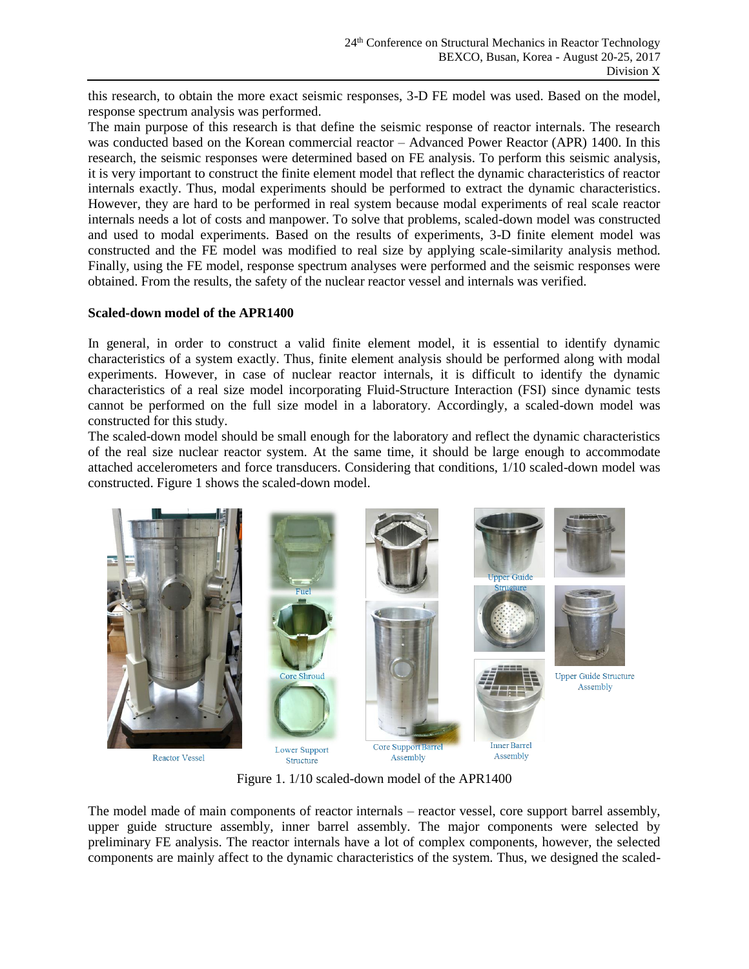this research, to obtain the more exact seismic responses, 3-D FE model was used. Based on the model, response spectrum analysis was performed.

The main purpose of this research is that define the seismic response of reactor internals. The research was conducted based on the Korean commercial reactor – Advanced Power Reactor (APR) 1400. In this research, the seismic responses were determined based on FE analysis. To perform this seismic analysis, it is very important to construct the finite element model that reflect the dynamic characteristics of reactor internals exactly. Thus, modal experiments should be performed to extract the dynamic characteristics. However, they are hard to be performed in real system because modal experiments of real scale reactor internals needs a lot of costs and manpower. To solve that problems, scaled-down model was constructed and used to modal experiments. Based on the results of experiments, 3-D finite element model was constructed and the FE model was modified to real size by applying scale-similarity analysis method. Finally, using the FE model, response spectrum analyses were performed and the seismic responses were obtained. From the results, the safety of the nuclear reactor vessel and internals was verified.

### **Scaled-down model of the APR1400**

In general, in order to construct a valid finite element model, it is essential to identify dynamic characteristics of a system exactly. Thus, finite element analysis should be performed along with modal experiments. However, in case of nuclear reactor internals, it is difficult to identify the dynamic characteristics of a real size model incorporating Fluid-Structure Interaction (FSI) since dynamic tests cannot be performed on the full size model in a laboratory. Accordingly, a scaled-down model was constructed for this study.

The scaled-down model should be small enough for the laboratory and reflect the dynamic characteristics of the real size nuclear reactor system. At the same time, it should be large enough to accommodate attached accelerometers and force transducers. Considering that conditions, 1/10 scaled-down model was constructed. Figure 1 shows the scaled-down model.



Figure 1. 1/10 scaled-down model of the APR1400

The model made of main components of reactor internals – reactor vessel, core support barrel assembly, upper guide structure assembly, inner barrel assembly. The major components were selected by preliminary FE analysis. The reactor internals have a lot of complex components, however, the selected components are mainly affect to the dynamic characteristics of the system. Thus, we designed the scaled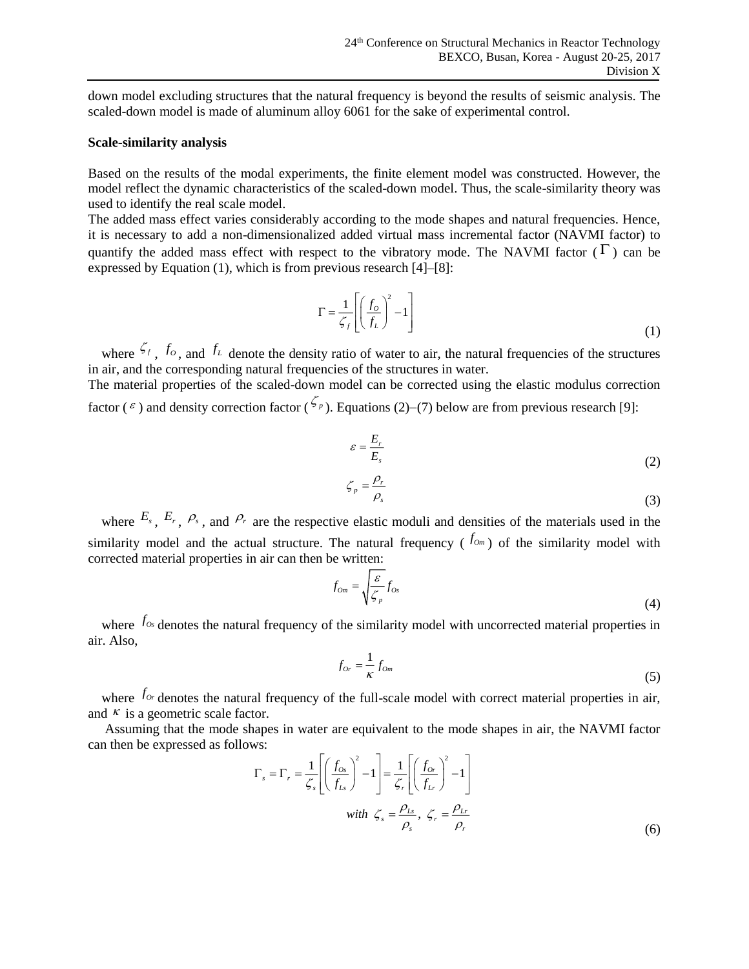down model excluding structures that the natural frequency is beyond the results of seismic analysis. The scaled-down model is made of aluminum alloy 6061 for the sake of experimental control.

#### **Scale-similarity analysis**

Based on the results of the modal experiments, the finite element model was constructed. However, the model reflect the dynamic characteristics of the scaled-down model. Thus, the scale-similarity theory was used to identify the real scale model.

The added mass effect varies considerably according to the mode shapes and natural frequencies. Hence, it is necessary to add a non-dimensionalized added virtual mass incremental factor (NAVMI factor) to quantify the added mass effect with respect to the vibratory mode. The NAVMI factor  $(\Gamma)$  can be expressed by Equation (1), which is from previous research [4]–[8]:

$$
\Gamma = \frac{1}{\zeta_f} \left[ \left( \frac{f_o}{f_L} \right)^2 - 1 \right] \tag{1}
$$

where  $\zeta_f$ ,  $f_o$ , and  $f_l$  denote the density ratio of water to air, the natural frequencies of the structures in air, and the corresponding natural frequencies of the structures in water.

The material properties of the scaled-down model can be corrected using the elastic modulus correction factor ( $\epsilon$ ) and density correction factor ( $\frac{\zeta_p}{\zeta_p}$ ). Equations (2)–(7) below are from previous research [9]:

$$
\varepsilon = \frac{E_r}{E_s} \tag{2}
$$

$$
\zeta_p = \frac{\rho_r}{\rho_s} \tag{3}
$$

where  $E_s$ ,  $E_r$ ,  $\varphi_s$ , and  $\varphi_r$  are the respective elastic moduli and densities of the materials used in the similarity model and the actual structure. The natural frequency  $(f_{\alpha_m})$  of the similarity model with corrected material properties in air can then be written:

$$
f_{0m} = \sqrt{\frac{\varepsilon}{\zeta_p}} f_{0s} \tag{4}
$$

where  $f_{\alpha}$  denotes the natural frequency of the similarity model with uncorrected material properties in air. Also,

$$
f_{or} = \frac{1}{\kappa} f_{om} \tag{5}
$$

where  $f_{o_r}$  denotes the natural frequency of the full-scale model with correct material properties in air, and  $\kappa$  is a geometric scale factor.

Assuming that the mode shapes in water are equivalent to the mode shapes in air, the NAVMI factor can then be expressed as follows:

$$
\Gamma_s = \Gamma_r = \frac{1}{\zeta_s} \left[ \left( \frac{f_{0s}}{f_{Ls}} \right)^2 - 1 \right] = \frac{1}{\zeta_r} \left[ \left( \frac{f_{0r}}{f_{Lr}} \right)^2 - 1 \right]
$$
  
with  $\zeta_s = \frac{\rho_{Ls}}{\rho_s}, \ \zeta_r = \frac{\rho_{Lr}}{\rho_r}$  (6)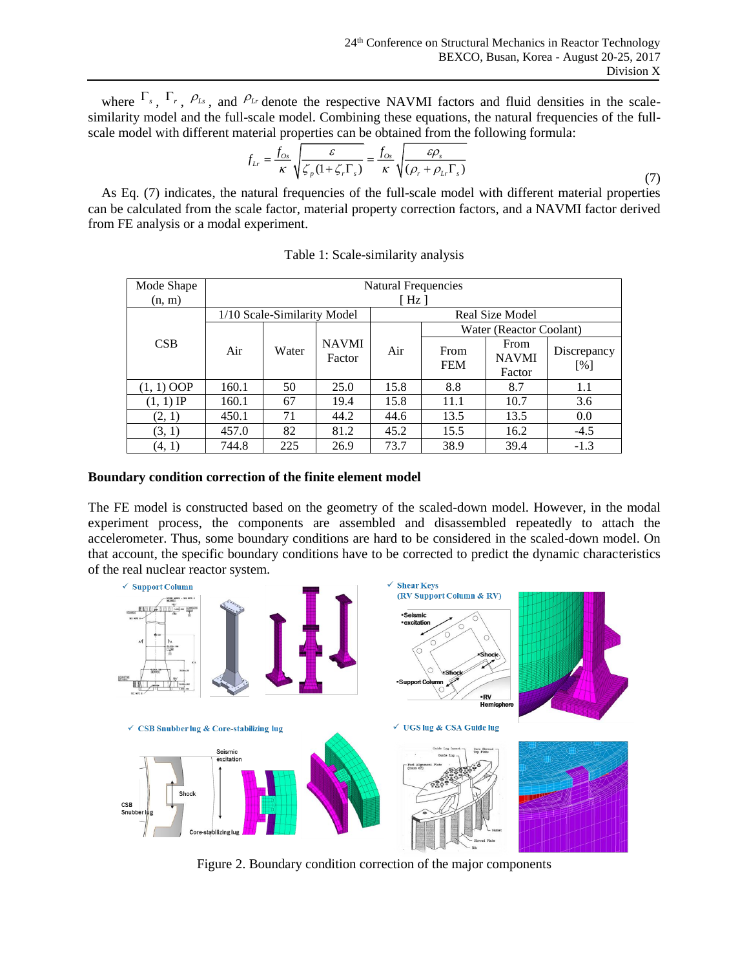where  $\Gamma_s$ ,  $\Gamma_r$ ,  $\rho_{Ls}$ , and  $\rho_{Lr}$  denote the respective NAVMI factors and fluid densities in the scalesimilarity model and the full-scale model. Combining these equations, the natural frequencies of the fullscale model with different material properties can be obtained from the following formula:

$$
f_{Lr} = \frac{f_{0s}}{\kappa} \sqrt{\frac{\varepsilon}{\zeta_p (1 + \zeta_r \Gamma_s)}} = \frac{f_{0s}}{\kappa} \sqrt{\frac{\varepsilon \rho_s}{(\rho_r + \rho_{Lr} \Gamma_s)}}
$$
(7)

As Eq. (7) indicates, the natural frequencies of the full-scale model with different material properties can be calculated from the scale factor, material property correction factors, and a NAVMI factor derived from FE analysis or a modal experiment.

| Mode Shape   | Natural Frequencies         |       |                        |                 |                         |                                |                    |  |  |
|--------------|-----------------------------|-------|------------------------|-----------------|-------------------------|--------------------------------|--------------------|--|--|
| (n, m)       | [ Hz ]                      |       |                        |                 |                         |                                |                    |  |  |
|              | 1/10 Scale-Similarity Model |       |                        | Real Size Model |                         |                                |                    |  |  |
| CSB          | Air                         | Water | <b>NAVMI</b><br>Factor | Air             | Water (Reactor Coolant) |                                |                    |  |  |
|              |                             |       |                        |                 | From<br><b>FEM</b>      | From<br><b>NAVMI</b><br>Factor | Discrepancy<br>[%] |  |  |
| $(1, 1)$ OOP | 160.1                       | 50    | 25.0                   | 15.8            | 8.8                     | 8.7                            | 1.1                |  |  |
| $(1, 1)$ IP  | 160.1                       | 67    | 19.4                   | 15.8            | 11.1                    | 10.7                           | 3.6                |  |  |
| (2, 1)       | 450.1                       | 71    | 44.2                   | 44.6            | 13.5                    | 13.5                           | 0.0                |  |  |
| (3, 1)       | 457.0                       | 82    | 81.2                   | 45.2            | 15.5                    | 16.2                           | $-4.5$             |  |  |
| (4, 1)       | 744.8                       | 225   | 26.9                   | 73.7            | 38.9                    | 39.4                           | $-1.3$             |  |  |

|  | Table 1: Scale-similarity analysis |  |
|--|------------------------------------|--|
|--|------------------------------------|--|

# **Boundary condition correction of the finite element model**

The FE model is constructed based on the geometry of the scaled-down model. However, in the modal experiment process, the components are assembled and disassembled repeatedly to attach the accelerometer. Thus, some boundary conditions are hard to be considered in the scaled-down model. On that account, the specific boundary conditions have to be corrected to predict the dynamic characteristics of the real nuclear reactor system.



Figure 2. Boundary condition correction of the major components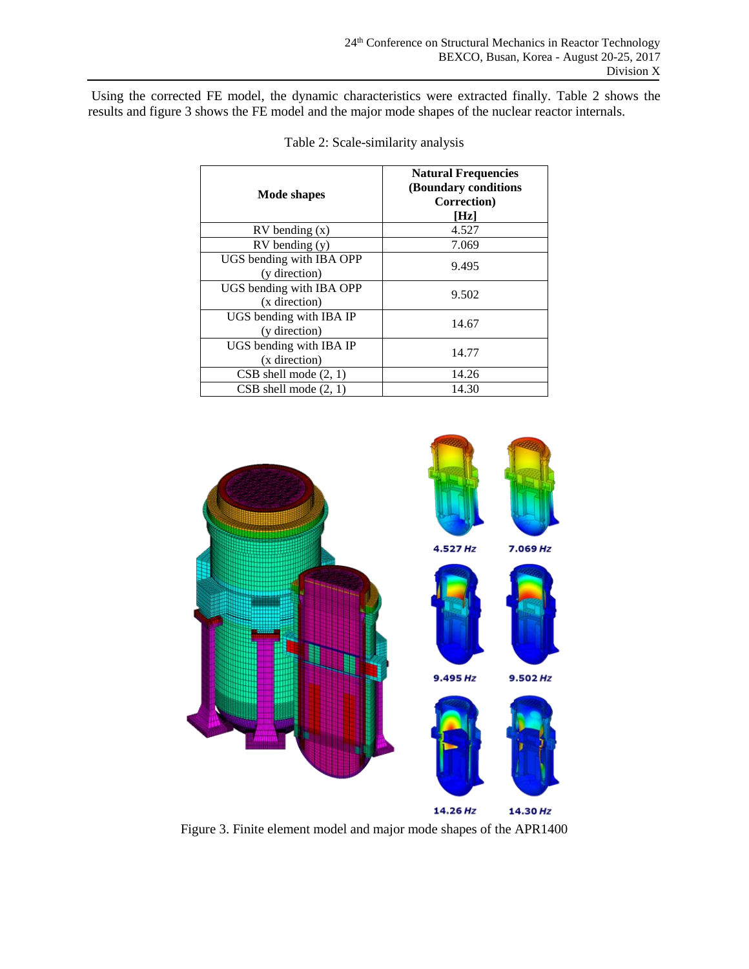Using the corrected FE model, the dynamic characteristics were extracted finally. Table 2 shows the results and figure 3 shows the FE model and the major mode shapes of the nuclear reactor internals.

| Mode shapes                               | <b>Natural Frequencies</b><br>(Boundary conditions<br>Correction)<br>[Hz] |  |
|-------------------------------------------|---------------------------------------------------------------------------|--|
| $RV$ bending $(x)$                        | 4.527                                                                     |  |
| $RV$ bending $(y)$                        | 7.069                                                                     |  |
| UGS bending with IBA OPP<br>(y direction) | 9.495                                                                     |  |
| UGS bending with IBA OPP<br>(x direction) | 9.502                                                                     |  |
| UGS bending with IBA IP<br>(y direction)  | 14.67                                                                     |  |
| UGS bending with IBA IP<br>(x direction)  | 14.77                                                                     |  |
| $CSB$ shell mode $(2, 1)$                 | 14.26                                                                     |  |
| $CSB$ shell mode $(2, 1)$                 | 14.30                                                                     |  |

Table 2: Scale-similarity analysis



Figure 3. Finite element model and major mode shapes of the APR1400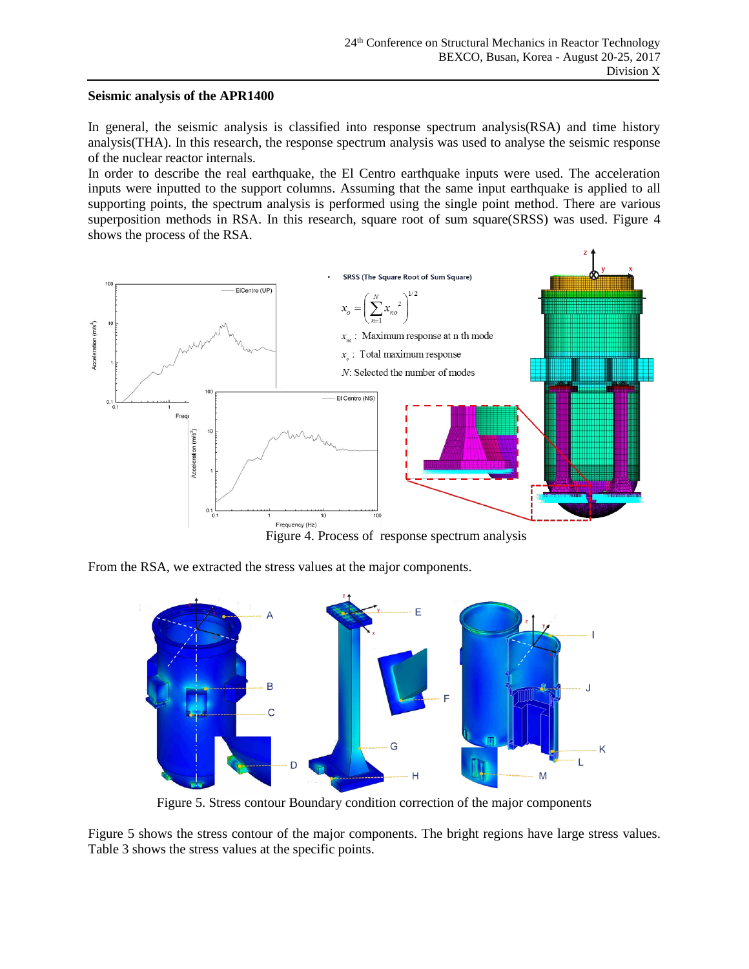### **Seismic analysis of the APR1400**

In general, the seismic analysis is classified into response spectrum analysis(RSA) and time history analysis(THA). In this research, the response spectrum analysis was used to analyse the seismic response of the nuclear reactor internals.

In order to describe the real earthquake, the El Centro earthquake inputs were used. The acceleration inputs were inputted to the support columns. Assuming that the same input earthquake is applied to all supporting points, the spectrum analysis is performed using the single point method. There are various superposition methods in RSA. In this research, square root of sum square(SRSS) was used. Figure 4 shows the process of the RSA.



Figure 4. Process of response spectrum analysis

From the RSA, we extracted the stress values at the major components.



Figure 5. Stress contour Boundary condition correction of the major components

Figure 5 shows the stress contour of the major components. The bright regions have large stress values. Table 3 shows the stress values at the specific points.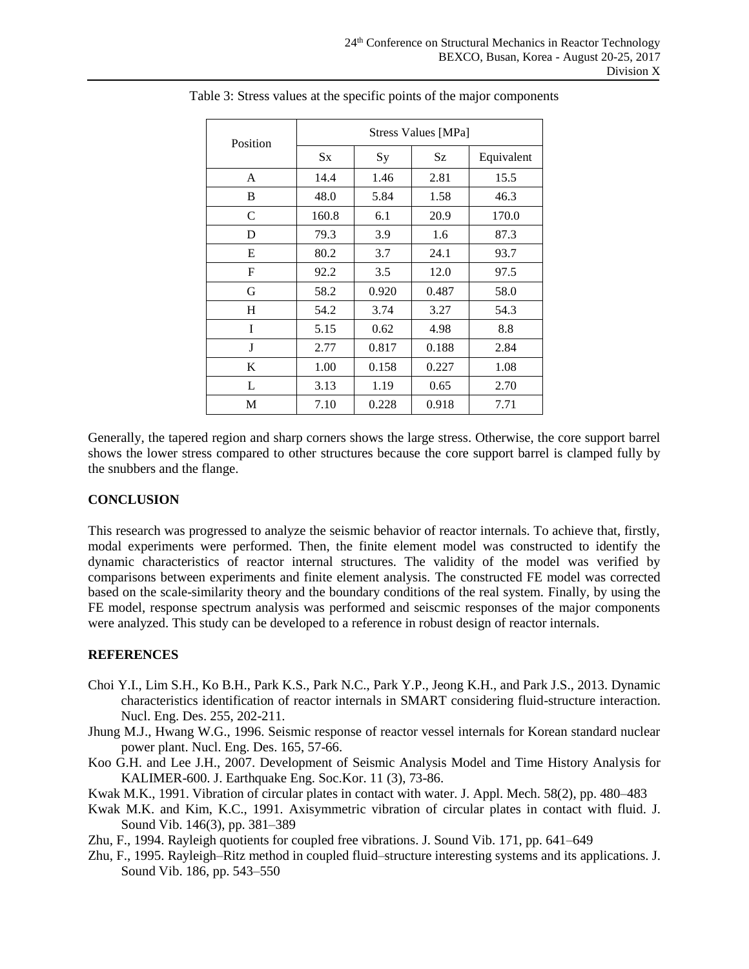|          | <b>Stress Values [MPa]</b> |           |           |            |  |  |
|----------|----------------------------|-----------|-----------|------------|--|--|
| Position | $S_{X}$                    | <b>Sy</b> | <b>Sz</b> | Equivalent |  |  |
| A        | 14.4                       | 1.46      | 2.81      | 15.5       |  |  |
| B        | 48.0                       | 5.84      | 1.58      | 46.3       |  |  |
| C        | 160.8                      | 6.1       | 20.9      | 170.0      |  |  |
| D        | 79.3                       | 3.9       | 1.6       | 87.3       |  |  |
| E        | 80.2                       | 3.7       | 24.1      | 93.7       |  |  |
| F        | 92.2                       | 3.5       | 12.0      | 97.5       |  |  |
| G        | 58.2                       | 0.920     | 0.487     | 58.0       |  |  |
| H        | 54.2                       | 3.74      | 3.27      | 54.3       |  |  |
| I        | 5.15                       | 0.62      | 4.98      | 8.8        |  |  |
| J        | 2.77                       | 0.817     | 0.188     | 2.84       |  |  |
| K        | 1.00                       | 0.158     | 0.227     | 1.08       |  |  |
| L        | 3.13                       | 1.19      | 0.65      | 2.70       |  |  |
| М        | 7.10                       | 0.228     | 0.918     | 7.71       |  |  |

Table 3: Stress values at the specific points of the major components

Generally, the tapered region and sharp corners shows the large stress. Otherwise, the core support barrel shows the lower stress compared to other structures because the core support barrel is clamped fully by the snubbers and the flange.

### **CONCLUSION**

This research was progressed to analyze the seismic behavior of reactor internals. To achieve that, firstly, modal experiments were performed. Then, the finite element model was constructed to identify the dynamic characteristics of reactor internal structures. The validity of the model was verified by comparisons between experiments and finite element analysis. The constructed FE model was corrected based on the scale-similarity theory and the boundary conditions of the real system. Finally, by using the FE model, response spectrum analysis was performed and seiscmic responses of the major components were analyzed. This study can be developed to a reference in robust design of reactor internals.

#### **REFERENCES**

- Choi Y.I., Lim S.H., Ko B.H., Park K.S., Park N.C., Park Y.P., Jeong K.H., and Park J.S., 2013. Dynamic characteristics identification of reactor internals in SMART considering fluid-structure interaction. Nucl. Eng. Des. 255, 202-211.
- Jhung M.J., Hwang W.G., 1996. Seismic response of reactor vessel internals for Korean standard nuclear power plant. Nucl. Eng. Des. 165, 57-66.
- Koo G.H. and Lee J.H., 2007. Development of Seismic Analysis Model and Time History Analysis for KALIMER-600. J. Earthquake Eng. Soc.Kor. 11 (3), 73-86.
- Kwak M.K., 1991. Vibration of circular plates in contact with water. J. Appl. Mech. 58(2), pp. 480–483
- Kwak M.K. and Kim, K.C., 1991. Axisymmetric vibration of circular plates in contact with fluid. J. Sound Vib. 146(3), pp. 381–389
- Zhu, F., 1994. Rayleigh quotients for coupled free vibrations. J. Sound Vib. 171, pp. 641–649
- Zhu, F., 1995. Rayleigh–Ritz method in coupled fluid–structure interesting systems and its applications. J. Sound Vib. 186, pp. 543–550